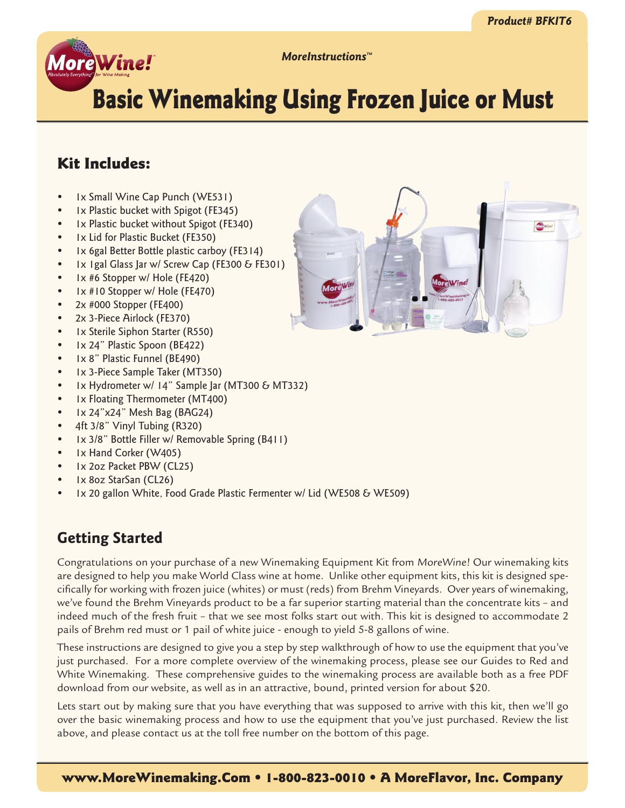

*MoreInstructions™*

# Basic Winemaking Using Frozen Juice or Must

# Kit Includes:

- Ix Small Wine Cap Punch (WE531)
- Ix Plastic bucket with Spigot (FE345)
- Ix Plastic bucket without Spigot (FE340)
- Ix Lid for Plastic Bucket (FE350)
- Ix 6gal Better Bottle plastic carboy (FE314)
- 1x 1gal Glass Jar w/ Screw Cap (FE300 & FE301)
- Ix #6 Stopper w/ Hole (FE420)
- Ix #10 Stopper w/ Hole (FE470)
- 2x #000 Stopper (FE400)
- 2x 3-Piece Airlock (FE370)
- Ix Sterile Siphon Starter (R550)
- Ix 24" Plastic Spoon (BE422)
- Ix 8" Plastic Funnel (BE490)
- Ix 3-Piece Sample Taker (MT350)
- Ix Hydrometer w/ 14" Sample Jar (MT300 & MT332)
- Ix Floating Thermometer (MT400)
- 1x 24"x24" Mesh Bag (BAG24)
- 4ft 3/8" Vinyl Tubing (R320)
- 1x 3/8" Bottle Filler w/ Removable Spring (B411)
- Ix Hand Corker (W405)
- 1x 2oz Packet PBW (CL25)
- 1x 8oz StarSan (CL26)
- 1x 20 gallon White, Food Grade Plastic Fermenter w/ Lid (WE508 & WE509)

# **Getting Started**

Congratulations on your purchase of a new Winemaking Equipment Kit from MoreWine! Our winemaking kits are designed to help you make World Class wine at home. Unlike other equipment kits, this kit is designed specifically for working with frozen juice (whites) or must (reds) from Brehm Vineyards. Over years of winemaking, we've found the Brehm Vineyards product to be a far superior starting material than the concentrate kits – and indeed much of the fresh fruit – that we see most folks start out with. This kit is designed to accommodate 2 pails of Brehm red must or 1 pail of white juice - enough to yield 5-8 gallons of wine.

These instructions are designed to give you a step by step walkthrough of how to use the equipment that you've just purchased. For a more complete overview of the winemaking process, please see our Guides to Red and White Winemaking. These comprehensive guides to the winemaking process are available both as a free PDF download from our website, as well as in an attractive, bound, printed version for about \$20.

Lets start out by making sure that you have everything that was supposed to arrive with this kit, then we'll go over the basic winemaking process and how to use the equipment that you've just purchased. Review the list above, and please contact us at the toll free number on the bottom of this page.

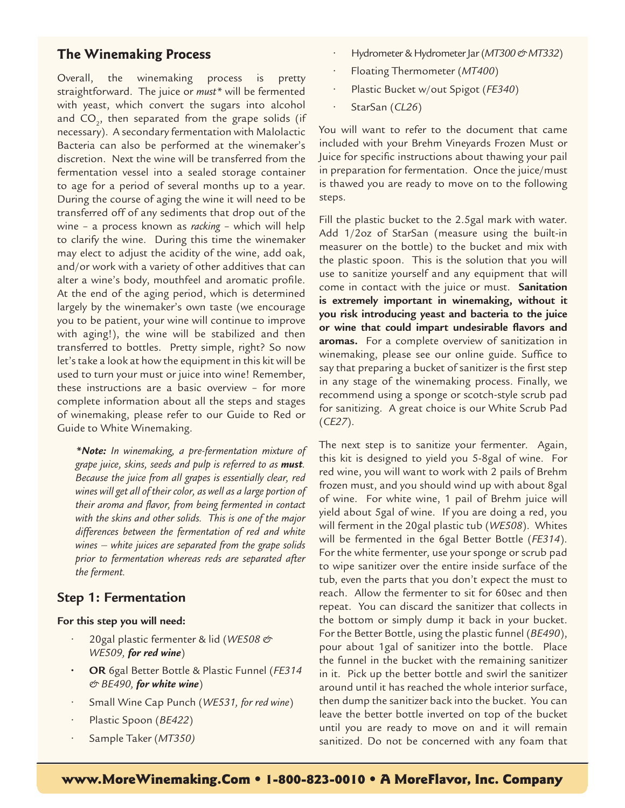## **The Winemaking Process**

Overall, the winemaking process is pretty straightforward. The juice or *must\** will be fermented with yeast, which convert the sugars into alcohol and  $\textsf{CO}_\textsf{2}^{\phantom{\dagger}},$  then separated from the grape solids (if necessary). A secondary fermentation with Malolactic Bacteria can also be performed at the winemaker's discretion. Next the wine will be transferred from the fermentation vessel into a sealed storage container to age for a period of several months up to a year. During the course of aging the wine it will need to be transferred off of any sediments that drop out of the wine – a process known as *racking* – which will help to clarify the wine. During this time the winemaker may elect to adjust the acidity of the wine, add oak, and/or work with a variety of other additives that can alter a wine's body, mouthfeel and aromatic profile. At the end of the aging period, which is determined largely by the winemaker's own taste (we encourage you to be patient, your wine will continue to improve with aging!), the wine will be stabilized and then transferred to bottles. Pretty simple, right? So now let's take a look at how the equipment in this kit will be used to turn your must or juice into wine! Remember, these instructions are a basic overview – for more complete information about all the steps and stages of winemaking, please refer to our Guide to Red or Guide to White Winemaking.

*\*Note: In winemaking, a pre-fermentation mixture of grape juice, skins, seeds and pulp is referred to as must. Because the juice from all grapes is essentially clear, red wines will get all of their color, as well as a large portion of their aroma and flavor, from being fermented in contact with the skins and other solids. This is one of the major differences between the fermentation of red and white wines – white juices are separated from the grape solids prior to fermentation whereas reds are separated after the ferment.*

## **Step 1: Fermentation**

#### **For this step you will need:**

- 20gal plastic fermenter & lid (*WE508 & WE509, for red wine*)
- **• OR** 6gal Better Bottle & Plastic Funnel (*FE314 & BE490, for white wine*)
- Small Wine Cap Punch (*WE531, for red wine*)
- Plastic Spoon (*BE422*)
- Sample Taker (*MT350)*
- Hydrometer & Hydrometer Jar (*MT300 & MT332*)
- Floating Thermometer (*MT400*)
- Plastic Bucket w/out Spigot (*FE340*)
- StarSan (*CL26*)

You will want to refer to the document that came included with your Brehm Vineyards Frozen Must or Juice for specific instructions about thawing your pail in preparation for fermentation. Once the juice/must is thawed you are ready to move on to the following steps.

Fill the plastic bucket to the 2.5gal mark with water. Add 1/2oz of StarSan (measure using the built-in measurer on the bottle) to the bucket and mix with the plastic spoon. This is the solution that you will use to sanitize yourself and any equipment that will come in contact with the juice or must. **Sanitation is extremely important in winemaking, without it you risk introducing yeast and bacteria to the juice or wine that could impart undesirable flavors and aromas.** For a complete overview of sanitization in winemaking, please see our online guide. Suffice to say that preparing a bucket of sanitizer is the first step in any stage of the winemaking process. Finally, we recommend using a sponge or scotch-style scrub pad for sanitizing. A great choice is our White Scrub Pad (*CE27*).

The next step is to sanitize your fermenter. Again, this kit is designed to yield you 5-8gal of wine. For red wine, you will want to work with 2 pails of Brehm frozen must, and you should wind up with about 8gal of wine. For white wine, 1 pail of Brehm juice will yield about 5gal of wine. If you are doing a red, you will ferment in the 20gal plastic tub (*WE508*). Whites will be fermented in the 6gal Better Bottle (*FE314*). For the white fermenter, use your sponge or scrub pad to wipe sanitizer over the entire inside surface of the tub, even the parts that you don't expect the must to reach. Allow the fermenter to sit for 60sec and then repeat. You can discard the sanitizer that collects in the bottom or simply dump it back in your bucket. For the Better Bottle, using the plastic funnel (*BE490*), pour about 1gal of sanitizer into the bottle. Place the funnel in the bucket with the remaining sanitizer in it. Pick up the better bottle and swirl the sanitizer around until it has reached the whole interior surface, then dump the sanitizer back into the bucket. You can leave the better bottle inverted on top of the bucket until you are ready to move on and it will remain sanitized. Do not be concerned with any foam that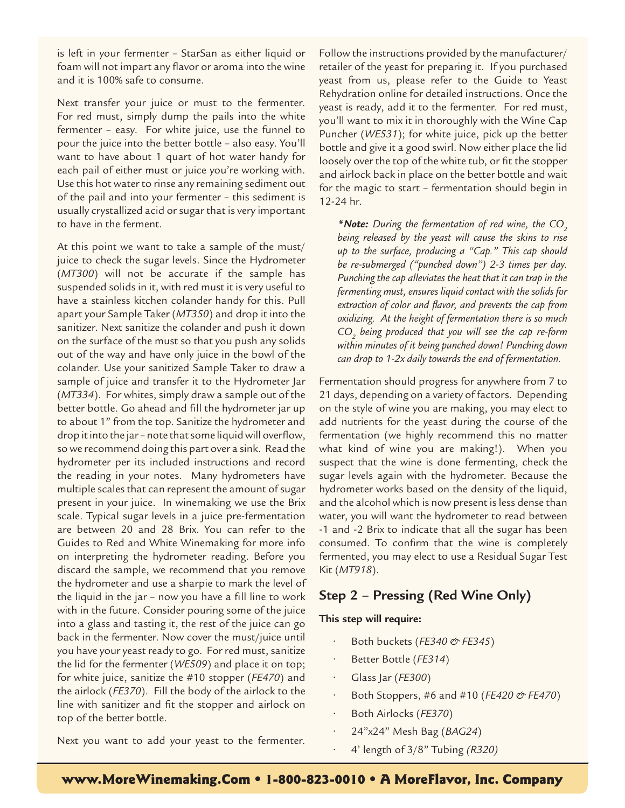is left in your fermenter – StarSan as either liquid or foam will not impart any flavor or aroma into the wine and it is 100% safe to consume.

Next transfer your juice or must to the fermenter. For red must, simply dump the pails into the white fermenter – easy. For white juice, use the funnel to pour the juice into the better bottle – also easy. You'll want to have about 1 quart of hot water handy for each pail of either must or juice you're working with. Use this hot water to rinse any remaining sediment out of the pail and into your fermenter – this sediment is usually crystallized acid or sugar that is very important to have in the ferment.

At this point we want to take a sample of the must/ juice to check the sugar levels. Since the Hydrometer (*MT300*) will not be accurate if the sample has suspended solids in it, with red must it is very useful to have a stainless kitchen colander handy for this. Pull apart your Sample Taker (*MT350*) and drop it into the sanitizer. Next sanitize the colander and push it down on the surface of the must so that you push any solids out of the way and have only juice in the bowl of the colander. Use your sanitized Sample Taker to draw a sample of juice and transfer it to the Hydrometer Jar (*MT334*). For whites, simply draw a sample out of the better bottle. Go ahead and fill the hydrometer jar up to about 1" from the top. Sanitize the hydrometer and drop it into the jar – note that some liquid will overflow, so we recommend doing this part over a sink. Read the hydrometer per its included instructions and record the reading in your notes. Many hydrometers have multiple scales that can represent the amount of sugar present in your juice. In winemaking we use the Brix scale. Typical sugar levels in a juice pre-fermentation are between 20 and 28 Brix. You can refer to the Guides to Red and White Winemaking for more info on interpreting the hydrometer reading. Before you discard the sample, we recommend that you remove the hydrometer and use a sharpie to mark the level of the liquid in the jar – now you have a fill line to work with in the future. Consider pouring some of the juice into a glass and tasting it, the rest of the juice can go back in the fermenter. Now cover the must/juice until you have your yeast ready to go. For red must, sanitize the lid for the fermenter (*WE509*) and place it on top; for white juice, sanitize the #10 stopper (*FE470*) and the airlock (*FE370*). Fill the body of the airlock to the line with sanitizer and fit the stopper and airlock on top of the better bottle.

Follow the instructions provided by the manufacturer/ retailer of the yeast for preparing it. If you purchased yeast from us, please refer to the Guide to Yeast Rehydration online for detailed instructions. Once the yeast is ready, add it to the fermenter. For red must, you'll want to mix it in thoroughly with the Wine Cap Puncher (*WE531*); for white juice, pick up the better bottle and give it a good swirl. Now either place the lid loosely over the top of the white tub, or fit the stopper and airlock back in place on the better bottle and wait for the magic to start – fermentation should begin in 12-24 hr.

\***Note:** During the fermentation of red wine, the CO<sub>2</sub> *being released by the yeast will cause the skins to rise up to the surface, producing a "Cap." This cap should be re-submerged ("punched down") 2-3 times per day. Punching the cap alleviates the heat that it can trap in the fermenting must, ensures liquid contact with the solids for extraction of color and flavor, and prevents the cap from oxidizing. At the height of fermentation there is so much CO2 being produced that you will see the cap re-form within minutes of it being punched down! Punching down can drop to 1-2x daily towards the end of fermentation.*

Fermentation should progress for anywhere from 7 to 21 days, depending on a variety of factors. Depending on the style of wine you are making, you may elect to add nutrients for the yeast during the course of the fermentation (we highly recommend this no matter what kind of wine you are making!). When you suspect that the wine is done fermenting, check the sugar levels again with the hydrometer. Because the hydrometer works based on the density of the liquid, and the alcohol which is now present is less dense than water, you will want the hydrometer to read between -1 and -2 Brix to indicate that all the sugar has been consumed. To confirm that the wine is completely fermented, you may elect to use a Residual Sugar Test Kit (*MT918*).

# **Step 2 – Pressing (Red Wine Only)**

#### **This step will require:**

- Both buckets (*FE340 & FE345*)
- Better Bottle (*FE314*)
- Glass Jar (*FE300*)
- Both Stoppers, #6 and #10 (*FE420 & FE470*)
- Both Airlocks (*FE370*)
- 24"x24" Mesh Bag (*BAG24*)
- 4' length of 3/8" Tubing *(R320)*

Next you want to add your yeast to the fermenter.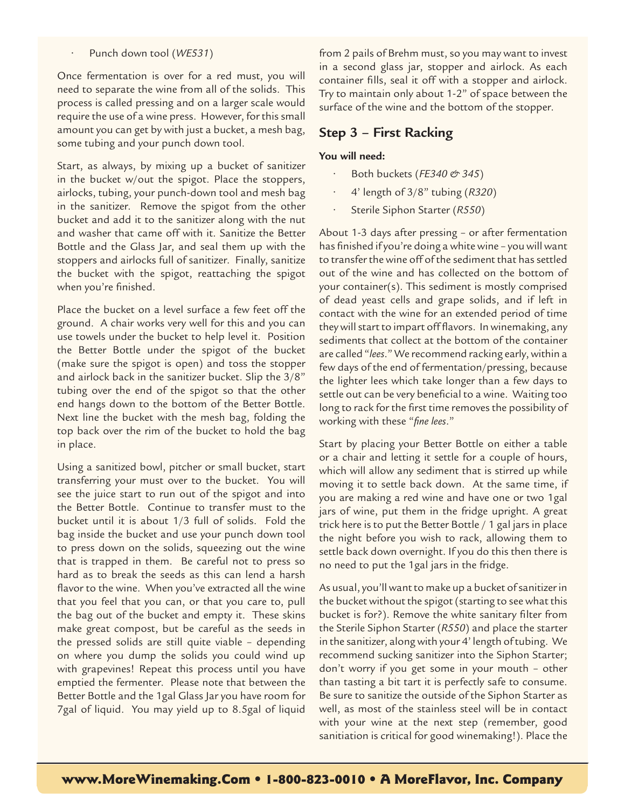#### • Punch down tool (*WE531*)

Once fermentation is over for a red must, you will need to separate the wine from all of the solids. This process is called pressing and on a larger scale would require the use of a wine press. However, for this small amount you can get by with just a bucket, a mesh bag, some tubing and your punch down tool.

Start, as always, by mixing up a bucket of sanitizer in the bucket w/out the spigot. Place the stoppers, airlocks, tubing, your punch-down tool and mesh bag in the sanitizer. Remove the spigot from the other bucket and add it to the sanitizer along with the nut and washer that came off with it. Sanitize the Better Bottle and the Glass Jar, and seal them up with the stoppers and airlocks full of sanitizer. Finally, sanitize the bucket with the spigot, reattaching the spigot when you're finished.

Place the bucket on a level surface a few feet off the ground. A chair works very well for this and you can use towels under the bucket to help level it. Position the Better Bottle under the spigot of the bucket (make sure the spigot is open) and toss the stopper and airlock back in the sanitizer bucket. Slip the 3/8" tubing over the end of the spigot so that the other end hangs down to the bottom of the Better Bottle. Next line the bucket with the mesh bag, folding the top back over the rim of the bucket to hold the bag in place.

Using a sanitized bowl, pitcher or small bucket, start transferring your must over to the bucket. You will see the juice start to run out of the spigot and into the Better Bottle. Continue to transfer must to the bucket until it is about 1/3 full of solids. Fold the bag inside the bucket and use your punch down tool to press down on the solids, squeezing out the wine that is trapped in them. Be careful not to press so hard as to break the seeds as this can lend a harsh flavor to the wine. When you've extracted all the wine that you feel that you can, or that you care to, pull the bag out of the bucket and empty it. These skins make great compost, but be careful as the seeds in the pressed solids are still quite viable – depending on where you dump the solids you could wind up with grapevines! Repeat this process until you have emptied the fermenter. Please note that between the Better Bottle and the 1gal Glass Jar you have room for 7gal of liquid. You may yield up to 8.5gal of liquid from 2 pails of Brehm must, so you may want to invest in a second glass jar, stopper and airlock. As each container fills, seal it off with a stopper and airlock. Try to maintain only about 1-2" of space between the surface of the wine and the bottom of the stopper.

### **Step 3 – First Racking**

#### **You will need:**

- Both buckets (*FE340 & 345*)
- 4' length of 3/8" tubing (*R320*)
- Sterile Siphon Starter (*R550*)

About 1-3 days after pressing – or after fermentation has finished if you're doing a white wine – you will want to transfer the wine off of the sediment that has settled out of the wine and has collected on the bottom of your container(s). This sediment is mostly comprised of dead yeast cells and grape solids, and if left in contact with the wine for an extended period of time they will start to impart off flavors. In winemaking, any sediments that collect at the bottom of the container are called "*lees*." We recommend racking early, within a few days of the end of fermentation/pressing, because the lighter lees which take longer than a few days to settle out can be very beneficial to a wine. Waiting too long to rack for the first time removes the possibility of working with these "*fine lees*."

Start by placing your Better Bottle on either a table or a chair and letting it settle for a couple of hours, which will allow any sediment that is stirred up while moving it to settle back down. At the same time, if you are making a red wine and have one or two 1gal jars of wine, put them in the fridge upright. A great trick here is to put the Better Bottle / 1 gal jars in place the night before you wish to rack, allowing them to settle back down overnight. If you do this then there is no need to put the 1gal jars in the fridge.

As usual, you'll want to make up a bucket of sanitizer in the bucket without the spigot (starting to see what this bucket is for?). Remove the white sanitary filter from the Sterile Siphon Starter (*R550*) and place the starter in the sanitizer, along with your 4' length of tubing. We recommend sucking sanitizer into the Siphon Starter; don't worry if you get some in your mouth – other than tasting a bit tart it is perfectly safe to consume. Be sure to sanitize the outside of the Siphon Starter as well, as most of the stainless steel will be in contact with your wine at the next step (remember, good sanitiation is critical for good winemaking!). Place the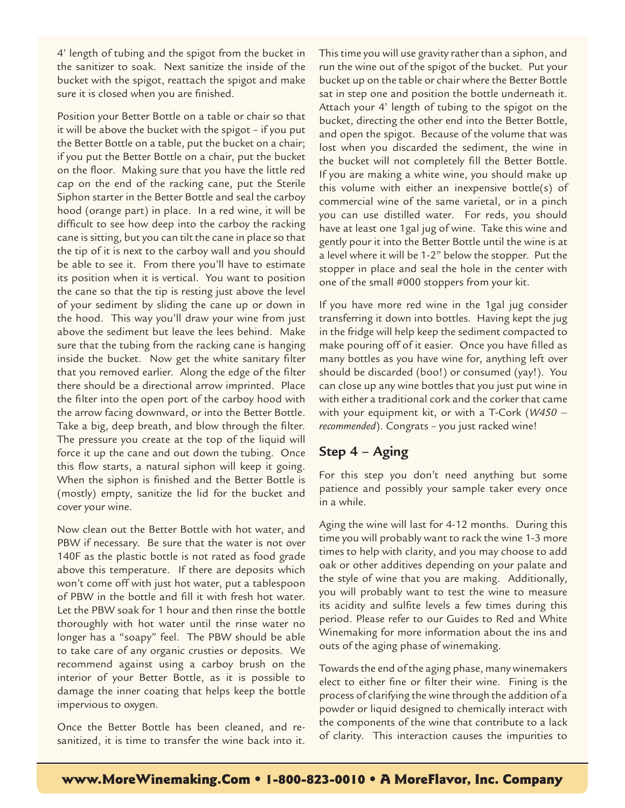4' length of tubing and the spigot from the bucket in the sanitizer to soak. Next sanitize the inside of the bucket with the spigot, reattach the spigot and make sure it is closed when you are finished.

Position your Better Bottle on a table or chair so that it will be above the bucket with the spigot – if you put the Better Bottle on a table, put the bucket on a chair; if you put the Better Bottle on a chair, put the bucket on the floor. Making sure that you have the little red cap on the end of the racking cane, put the Sterile Siphon starter in the Better Bottle and seal the carboy hood (orange part) in place. In a red wine, it will be difficult to see how deep into the carboy the racking cane is sitting, but you can tilt the cane in place so that the tip of it is next to the carboy wall and you should be able to see it. From there you'll have to estimate its position when it is vertical. You want to position the cane so that the tip is resting just above the level of your sediment by sliding the cane up or down in the hood. This way you'll draw your wine from just above the sediment but leave the lees behind. Make sure that the tubing from the racking cane is hanging inside the bucket. Now get the white sanitary filter that you removed earlier. Along the edge of the filter there should be a directional arrow imprinted. Place the filter into the open port of the carboy hood with the arrow facing downward, or into the Better Bottle. Take a big, deep breath, and blow through the filter. The pressure you create at the top of the liquid will force it up the cane and out down the tubing. Once this flow starts, a natural siphon will keep it going. When the siphon is finished and the Better Bottle is (mostly) empty, sanitize the lid for the bucket and cover your wine.

Now clean out the Better Bottle with hot water, and PBW if necessary. Be sure that the water is not over 140F as the plastic bottle is not rated as food grade above this temperature. If there are deposits which won't come off with just hot water, put a tablespoon of PBW in the bottle and fill it with fresh hot water. Let the PBW soak for 1 hour and then rinse the bottle thoroughly with hot water until the rinse water no longer has a "soapy" feel. The PBW should be able to take care of any organic crusties or deposits. We recommend against using a carboy brush on the interior of your Better Bottle, as it is possible to damage the inner coating that helps keep the bottle impervious to oxygen.

Once the Better Bottle has been cleaned, and resanitized, it is time to transfer the wine back into it.

This time you will use gravity rather than a siphon, and run the wine out of the spigot of the bucket. Put your bucket up on the table or chair where the Better Bottle sat in step one and position the bottle underneath it. Attach your 4' length of tubing to the spigot on the bucket, directing the other end into the Better Bottle, and open the spigot. Because of the volume that was lost when you discarded the sediment, the wine in the bucket will not completely fill the Better Bottle. If you are making a white wine, you should make up this volume with either an inexpensive bottle(s) of commercial wine of the same varietal, or in a pinch you can use distilled water. For reds, you should have at least one 1gal jug of wine. Take this wine and gently pour it into the Better Bottle until the wine is at a level where it will be 1-2" below the stopper. Put the stopper in place and seal the hole in the center with one of the small #000 stoppers from your kit.

If you have more red wine in the 1gal jug consider transferring it down into bottles. Having kept the jug in the fridge will help keep the sediment compacted to make pouring off of it easier. Once you have filled as many bottles as you have wine for, anything left over should be discarded (boo!) or consumed (yay!). You can close up any wine bottles that you just put wine in with either a traditional cork and the corker that came with your equipment kit, or with a T-Cork (*W450 – recommended*). Congrats – you just racked wine!

# **Step 4 – Aging**

For this step you don't need anything but some patience and possibly your sample taker every once in a while.

Aging the wine will last for 4-12 months. During this time you will probably want to rack the wine 1-3 more times to help with clarity, and you may choose to add oak or other additives depending on your palate and the style of wine that you are making. Additionally, you will probably want to test the wine to measure its acidity and sulfite levels a few times during this period. Please refer to our Guides to Red and White Winemaking for more information about the ins and outs of the aging phase of winemaking.

Towards the end of the aging phase, many winemakers elect to either fine or filter their wine. Fining is the process of clarifying the wine through the addition of a powder or liquid designed to chemically interact with the components of the wine that contribute to a lack of clarity. This interaction causes the impurities to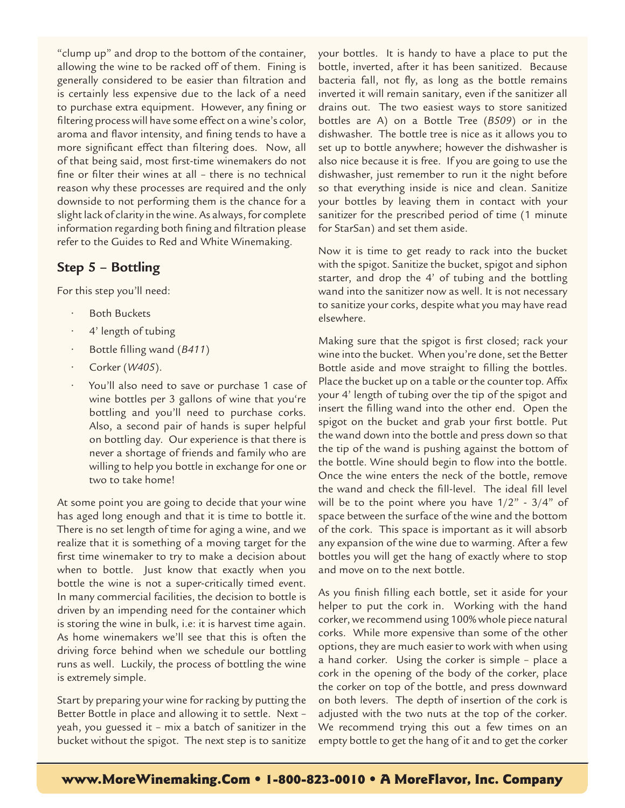"clump up" and drop to the bottom of the container, allowing the wine to be racked off of them. Fining is generally considered to be easier than filtration and is certainly less expensive due to the lack of a need to purchase extra equipment. However, any fining or filtering process will have some effect on a wine's color, aroma and flavor intensity, and fining tends to have a more significant effect than filtering does. Now, all of that being said, most first-time winemakers do not fine or filter their wines at all – there is no technical reason why these processes are required and the only downside to not performing them is the chance for a slight lack of clarity in the wine. As always, for complete information regarding both fining and filtration please refer to the Guides to Red and White Winemaking.

# **Step 5 – Bottling**

For this step you'll need:

- Both Buckets
- 4' length of tubing
- Bottle filling wand (*B411*)
- Corker (*W405*).
- You'll also need to save or purchase 1 case of wine bottles per 3 gallons of wine that you're bottling and you'll need to purchase corks. Also, a second pair of hands is super helpful on bottling day. Our experience is that there is never a shortage of friends and family who are willing to help you bottle in exchange for one or two to take home!

At some point you are going to decide that your wine has aged long enough and that it is time to bottle it. There is no set length of time for aging a wine, and we realize that it is something of a moving target for the first time winemaker to try to make a decision about when to bottle. Just know that exactly when you bottle the wine is not a super-critically timed event. In many commercial facilities, the decision to bottle is driven by an impending need for the container which is storing the wine in bulk, i.e: it is harvest time again. As home winemakers we'll see that this is often the driving force behind when we schedule our bottling runs as well. Luckily, the process of bottling the wine is extremely simple.

Start by preparing your wine for racking by putting the Better Bottle in place and allowing it to settle. Next – yeah, you guessed it – mix a batch of sanitizer in the bucket without the spigot. The next step is to sanitize

your bottles. It is handy to have a place to put the bottle, inverted, after it has been sanitized. Because bacteria fall, not fly, as long as the bottle remains inverted it will remain sanitary, even if the sanitizer all drains out. The two easiest ways to store sanitized bottles are A) on a Bottle Tree (*B509*) or in the dishwasher. The bottle tree is nice as it allows you to set up to bottle anywhere; however the dishwasher is also nice because it is free. If you are going to use the dishwasher, just remember to run it the night before so that everything inside is nice and clean. Sanitize your bottles by leaving them in contact with your sanitizer for the prescribed period of time (1 minute for StarSan) and set them aside.

Now it is time to get ready to rack into the bucket with the spigot. Sanitize the bucket, spigot and siphon starter, and drop the 4' of tubing and the bottling wand into the sanitizer now as well. It is not necessary to sanitize your corks, despite what you may have read elsewhere.

Making sure that the spigot is first closed; rack your wine into the bucket. When you're done, set the Better Bottle aside and move straight to filling the bottles. Place the bucket up on a table or the counter top. Affix your 4' length of tubing over the tip of the spigot and insert the filling wand into the other end. Open the spigot on the bucket and grab your first bottle. Put the wand down into the bottle and press down so that the tip of the wand is pushing against the bottom of the bottle. Wine should begin to flow into the bottle. Once the wine enters the neck of the bottle, remove the wand and check the fill-level. The ideal fill level will be to the point where you have  $1/2$ " -  $3/4$ " of space between the surface of the wine and the bottom of the cork. This space is important as it will absorb any expansion of the wine due to warming. After a few bottles you will get the hang of exactly where to stop and move on to the next bottle.

As you finish filling each bottle, set it aside for your helper to put the cork in. Working with the hand corker, we recommend using 100% whole piece natural corks. While more expensive than some of the other options, they are much easier to work with when using a hand corker. Using the corker is simple – place a cork in the opening of the body of the corker, place the corker on top of the bottle, and press downward on both levers. The depth of insertion of the cork is adjusted with the two nuts at the top of the corker. We recommend trying this out a few times on an empty bottle to get the hang of it and to get the corker